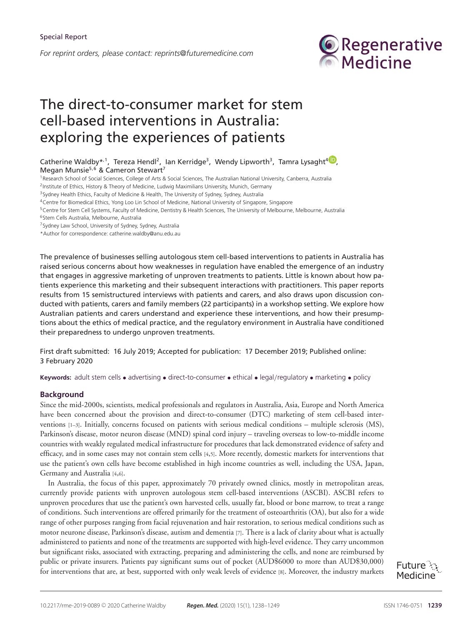*For reprint orders, please contact: reprints@futuremedicine.com*



# The direct-to-consumer market for stem cell-based interventions in Australia: exploring the experiences of patients

# Catherine Waldby\*<sup>[,](https://orcid.org/0000-0002-7125-4206)1</sup>, Tereza Hendl<sup>2</sup>, Ian Kerridge<sup>3</sup>, Wendy Lipworth<sup>3</sup>, Tamra Lysaght<sup>4</sup><sup>(D</sup>, Megan Munsie<sup>5,6</sup> & Cameron Stewart<sup>7</sup>

<sup>1</sup> Research School of Social Sciences, College of Arts & Social Sciences, The Australian National University, Canberra, Australia

<sup>2</sup> Institute of Ethics, History & Theory of Medicine, Ludwig Maximilians University, Munich, Germany

<sup>3</sup> Sydney Health Ethics, Faculty of Medicine & Health, The University of Sydney, Sydney, Australia

<sup>4</sup>Centre for Biomedical Ethics, Yong Loo Lin School of Medicine, National University of Singapore, Singapore

<sup>5</sup>Centre for Stem Cell Systems, Faculty of Medicine, Dentistry & Health Sciences, The University of Melbourne, Melbourne, Australia

<sup>6</sup>Stem Cells Australia, Melbourne, Australia

7Sydney Law School, University of Sydney, Sydney, Australia

\*Author for correspondence: catherine.waldby@anu.edu.au

The prevalence of businesses selling autologous stem cell-based interventions to patients in Australia has raised serious concerns about how weaknesses in regulation have enabled the emergence of an industry that engages in aggressive marketing of unproven treatments to patients. Little is known about how patients experience this marketing and their subsequent interactions with practitioners. This paper reports results from 15 semistructured interviews with patients and carers, and also draws upon discussion conducted with patients, carers and family members (22 participants) in a workshop setting. We explore how Australian patients and carers understand and experience these interventions, and how their presumptions about the ethics of medical practice, and the regulatory environment in Australia have conditioned their preparedness to undergo unproven treatments.

First draft submitted: 16 July 2019; Accepted for publication: 17 December 2019; Published online: 3 February 2020

**Keywords:** adult stem cells • advertising • direct-to-consumer • ethical • legal/regulatory • marketing • policy

# **Background**

Since the mid-2000s, scientists, medical professionals and regulators in Australia, Asia, Europe and North America have been concerned about the provision and direct-to-consumer (DTC) marketing of stem cell-based interventions [1–3]. Initially, concerns focused on patients with serious medical conditions – multiple sclerosis (MS), Parkinson's disease, motor neuron disease (MND) spinal cord injury – traveling overseas to low-to-middle income countries with weakly regulated medical infrastructure for procedures that lack demonstrated evidence of safety and efficacy, and in some cases may not contain stem cells [4,5]. More recently, domestic markets for interventions that use the patient's own cells have become established in high income countries as well, including the USA, Japan, Germany and Australia [4,6].

In Australia, the focus of this paper, approximately 70 privately owned clinics, mostly in metropolitan areas, currently provide patients with unproven autologous stem cell-based interventions (ASCBI). ASCBI refers to unproven procedures that use the patient's own harvested cells, usually fat, blood or bone marrow, to treat a range of conditions. Such interventions are offered primarily for the treatment of osteoarthritis (OA), but also for a wide range of other purposes ranging from facial rejuvenation and hair restoration, to serious medical conditions such as motor neurone disease, Parkinson's disease, autism and dementia [7]. There is a lack of clarity about what is actually administered to patients and none of the treatments are supported with high-level evidence. They carry uncommon but significant risks, associated with extracting, preparing and administering the cells, and none are reimbursed by public or private insurers. Patients pay significant sums out of pocket (AUD\$6000 to more than AUD\$30,000) for interventions that are, at best, supported with only weak levels of evidence [8]. Moreover, the industry markets

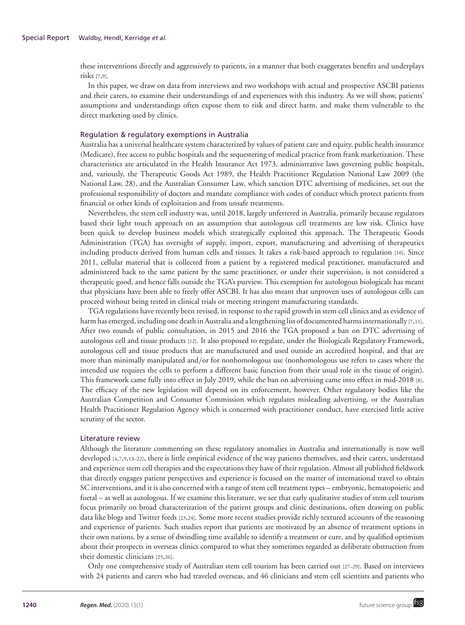these interventions directly and aggressively to patients, in a manner that both exaggerates benefits and underplays risks [7,9].

In this paper, we draw on data from interviews and two workshops with actual and prospective ASCBI patients and their carers, to examine their understandings of and experiences with this industry. As we will show, patients' assumptions and understandings often expose them to risk and direct harm, and make them vulnerable to the direct marketing used by clinics.

# Regulation & regulatory exemptions in Australia

Australia has a universal healthcare system characterized by values of patient care and equity, public health insurance (Medicare), free access to public hospitals and the sequestering of medical practice from frank marketization. These characteristics are articulated in the Health Insurance Act 1973, administrative laws governing public hospitals, and, variously, the Therapeutic Goods Act 1989, the Health Practitioner Regulation National Law 2009 (the National Law, 28), and the Australian Consumer Law*,* which sanction DTC advertising of medicines, set out the professional responsibility of doctors and mandate compliance with codes of conduct which protect patients from financial or other kinds of exploitation and from unsafe treatments.

Nevertheless, the stem cell industry was, until 2018, largely unfettered in Australia, primarily because regulators based their light touch approach on an assumption that autologous cell treatments are low risk. Clinics have been quick to develop business models which strategically exploited this approach. The Therapeutic Goods Administration (TGA) has oversight of supply, import, export, manufacturing and advertising of therapeutics including products derived from human cells and tissues. It takes a risk-based approach to regulation [10]. Since 2011, cellular material that is collected from a patient by a registered medical practitioner, manufactured and administered back to the same patient by the same practitioner, or under their supervision, is not considered a therapeutic good, and hence falls outside the TGA's purview. This exemption for autologous biologicals has meant that physicians have been able to freely offer ASCBI. It has also meant that unproven uses of autologous cells can proceed without being tested in clinical trials or meeting stringent manufacturing standards.

TGA regulations have recently been revised, in response to the rapid growth in stem cell clinics and as evidence of harm has emerged, including one death in Australia and a lengthening list of documented harms internationally [7,11]. After two rounds of public consultation, in 2015 and 2016 the TGA proposed a ban on DTC advertising of autologous cell and tissue products [12]. It also proposed to regulate, under the Biologicals Regulatory Framework, autologous cell and tissue products that are manufactured and used outside an accredited hospital, and that are more than minimally manipulated and/or for nonhomologous use (nonhomologous use refers to cases where the intended use requires the cells to perform a different basic function from their usual role in the tissue of origin). This framework came fully into effect in July 2019, while the ban on advertising came into effect in mid-2018 [8]. The efficacy of the new legislation will depend on its enforcement, however. Other regulatory bodies like the Australian Competition and Consumer Commission which regulates misleading advertising, or the Australian Health Practitioner Regulation Agency which is concerned with practitioner conduct, have exercised little active scrutiny of the sector.

## Literature review

Although the literature commenting on these regulatory anomalies in Australia and internationally is now well developed [4,7,9,13–22], there is little empirical evidence of the way patients themselves, and their carers, understand and experience stem cell therapies and the expectations they have of their regulation. Almost all published fieldwork that directly engages patient perspectives and experience is focused on the matter of international travel to obtain SC interventions, and it is also concerned with a range of stem cell treatment types – embryonic, hematopoietic and foetal – as well as autologous. If we examine this literature, we see that early qualitative studies of stem cell tourism focus primarily on broad characterization of the patient groups and clinic destinations, often drawing on public data like blogs and Twitter feeds [23,24]. Some more recent studies provide richly textured accounts of the reasoning and experience of patients. Such studies report that patients are motivated by an absence of treatment options in their own nations, by a sense of dwindling time available to identify a treatment or cure, and by qualified optimism about their prospects in overseas clinics compared to what they sometimes regarded as deliberate obstruction from their domestic clinicians [25,26].

Only one comprehensive study of Australian stem cell tourism has been carried out [27–29]. Based on interviews with 24 patients and carers who had traveled overseas, and 46 clinicians and stem cell scientists and patients who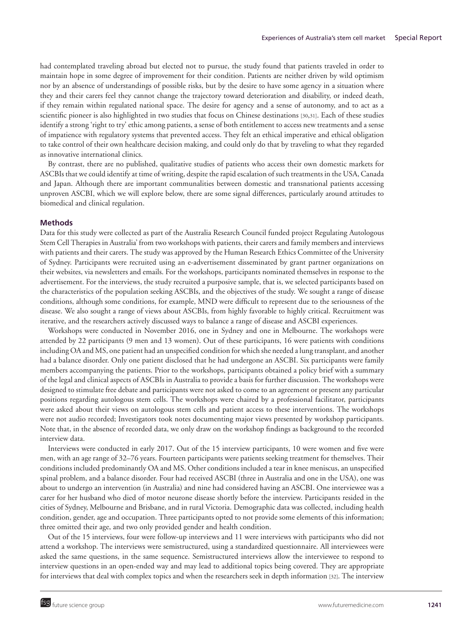had contemplated traveling abroad but elected not to pursue, the study found that patients traveled in order to maintain hope in some degree of improvement for their condition. Patients are neither driven by wild optimism nor by an absence of understandings of possible risks, but by the desire to have some agency in a situation where they and their carers feel they cannot change the trajectory toward deterioration and disability, or indeed death, if they remain within regulated national space. The desire for agency and a sense of autonomy, and to act as a scientific pioneer is also highlighted in two studies that focus on Chinese destinations [30,31]. Each of these studies identify a strong 'right to try' ethic among patients, a sense of both entitlement to access new treatments and a sense of impatience with regulatory systems that prevented access. They felt an ethical imperative and ethical obligation to take control of their own healthcare decision making, and could only do that by traveling to what they regarded as innovative international clinics.

By contrast, there are no published, qualitative studies of patients who access their own domestic markets for ASCBIs that we could identify at time of writing, despite the rapid escalation of such treatments in the USA, Canada and Japan. Although there are important communalities between domestic and transnational patients accessing unproven ASCBI, which we will explore below, there are some signal differences, particularly around attitudes to biomedical and clinical regulation.

# **Methods**

Data for this study were collected as part of the Australia Research Council funded project Regulating Autologous Stem Cell Therapies in Australia' from two workshops with patients, their carers and family members and interviews with patients and their carers. The study was approved by the Human Research Ethics Committee of the University of Sydney. Participants were recruited using an e-advertisement disseminated by grant partner organizations on their websites, via newsletters and emails. For the workshops, participants nominated themselves in response to the advertisement. For the interviews, the study recruited a purposive sample, that is, we selected participants based on the characteristics of the population seeking ASCBIs, and the objectives of the study. We sought a range of disease conditions, although some conditions, for example, MND were difficult to represent due to the seriousness of the disease. We also sought a range of views about ASCBIs, from highly favorable to highly critical. Recruitment was iterative, and the researchers actively discussed ways to balance a range of disease and ASCBI experiences.

Workshops were conducted in November 2016, one in Sydney and one in Melbourne. The workshops were attended by 22 participants (9 men and 13 women). Out of these participants, 16 were patients with conditions including OA and MS, one patient had an unspecified condition for which she needed a lung transplant, and another had a balance disorder. Only one patient disclosed that he had undergone an ASCBI. Six participants were family members accompanying the patients. Prior to the workshops, participants obtained a policy brief with a summary of the legal and clinical aspects of ASCBIs in Australia to provide a basis for further discussion. The workshops were designed to stimulate free debate and participants were not asked to come to an agreement or present any particular positions regarding autologous stem cells. The workshops were chaired by a professional facilitator, participants were asked about their views on autologous stem cells and patient access to these interventions. The workshops were not audio recorded; Investigators took notes documenting major views presented by workshop participants. Note that, in the absence of recorded data, we only draw on the workshop findings as background to the recorded interview data.

Interviews were conducted in early 2017. Out of the 15 interview participants, 10 were women and five were men, with an age range of 32–76 years. Fourteen participants were patients seeking treatment for themselves. Their conditions included predominantly OA and MS. Other conditions included a tear in knee meniscus, an unspecified spinal problem, and a balance disorder. Four had received ASCBI (three in Australia and one in the USA), one was about to undergo an intervention (in Australia) and nine had considered having an ASCBI. One interviewee was a carer for her husband who died of motor neurone disease shortly before the interview. Participants resided in the cities of Sydney, Melbourne and Brisbane, and in rural Victoria. Demographic data was collected, including health condition, gender, age and occupation. Three participants opted to not provide some elements of this information; three omitted their age, and two only provided gender and health condition.

Out of the 15 interviews, four were follow-up interviews and 11 were interviews with participants who did not attend a workshop. The interviews were semistructured, using a standardized questionnaire. All interviewees were asked the same questions, in the same sequence. Semistructured interviews allow the interviewee to respond to interview questions in an open-ended way and may lead to additional topics being covered. They are appropriate for interviews that deal with complex topics and when the researchers seek in depth information [32]. The interview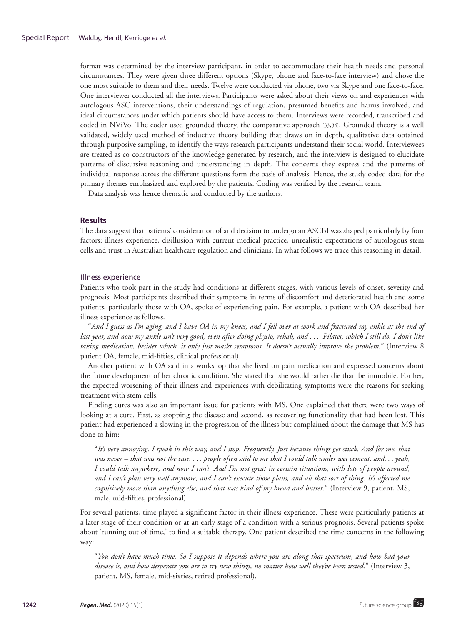format was determined by the interview participant, in order to accommodate their health needs and personal circumstances. They were given three different options (Skype, phone and face-to-face interview) and chose the one most suitable to them and their needs. Twelve were conducted via phone, two via Skype and one face-to-face. One interviewer conducted all the interviews. Participants were asked about their views on and experiences with autologous ASC interventions, their understandings of regulation, presumed benefits and harms involved, and ideal circumstances under which patients should have access to them. Interviews were recorded, transcribed and coded in NViVo. The coder used grounded theory, the comparative approach [33,34]. Grounded theory is a well validated, widely used method of inductive theory building that draws on in depth, qualitative data obtained through purposive sampling, to identify the ways research participants understand their social world. Interviewees are treated as co-constructors of the knowledge generated by research, and the interview is designed to elucidate patterns of discursive reasoning and understanding in depth. The concerns they express and the patterns of individual response across the different questions form the basis of analysis. Hence, the study coded data for the primary themes emphasized and explored by the patients. Coding was verified by the research team.

Data analysis was hence thematic and conducted by the authors.

# **Results**

The data suggest that patients' consideration of and decision to undergo an ASCBI was shaped particularly by four factors: illness experience, disillusion with current medical practice, unrealistic expectations of autologous stem cells and trust in Australian healthcare regulation and clinicians. In what follows we trace this reasoning in detail.

## Illness experience

Patients who took part in the study had conditions at different stages, with various levels of onset, severity and prognosis. Most participants described their symptoms in terms of discomfort and deteriorated health and some patients, particularly those with OA, spoke of experiencing pain. For example, a patient with OA described her illness experience as follows.

"*And I guess as I'm aging, and I have OA in my knees, and I fell over at work and fractured my ankle at the end of last year, and now my ankle isn't very good, even after doing physio, rehab, and . . . Pilates, which I still do. I don't like taking medication, besides which, it only just masks symptoms. It doesn't actually improve the problem.*" (Interview 8 patient OA, female, mid-fifties, clinical professional).

Another patient with OA said in a workshop that she lived on pain medication and expressed concerns about the future development of her chronic condition. She stated that she would rather die than be immobile. For her, the expected worsening of their illness and experiences with debilitating symptoms were the reasons for seeking treatment with stem cells.

Finding cures was also an important issue for patients with MS. One explained that there were two ways of looking at a cure. First, as stopping the disease and second, as recovering functionality that had been lost. This patient had experienced a slowing in the progression of the illness but complained about the damage that MS has done to him:

"*It's very annoying. I speak in this way, and I stop. Frequently. Just because things get stuck. And for me, that was never – that was not the case. . . . people often said to me that I could talk under wet cement, and. . . yeah, I could talk anywhere, and now I can't. And I'm not great in certain situations, with lots of people around, and I can't plan very well anymore, and I can't execute those plans, and all that sort of thing. It's affected me cognitively more than anything else, and that was kind of my bread and butter*." (Interview 9, patient, MS, male, mid-fifties, professional).

For several patients, time played a significant factor in their illness experience. These were particularly patients at a later stage of their condition or at an early stage of a condition with a serious prognosis. Several patients spoke about 'running out of time,' to find a suitable therapy. One patient described the time concerns in the following way:

"*You don't have much time. So I suppose it depends where you are along that spectrum, and how bad your disease is, and how desperate you are to try new things, no matter how well they've been tested.*" (Interview 3, patient, MS, female, mid-sixties, retired professional).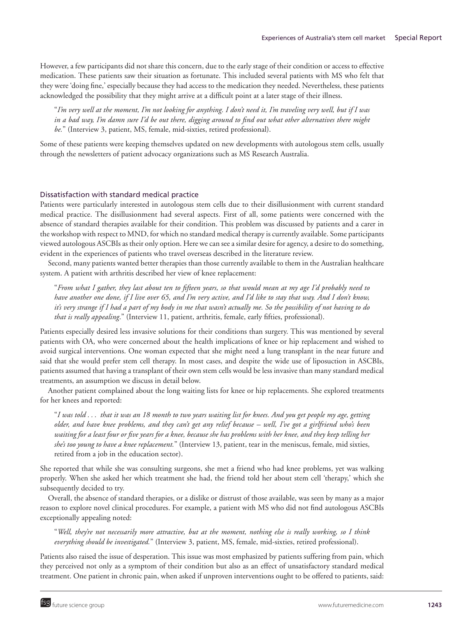However, a few participants did not share this concern, due to the early stage of their condition or access to effective medication. These patients saw their situation as fortunate. This included several patients with MS who felt that they were 'doing fine,' especially because they had access to the medication they needed. Nevertheless, these patients acknowledged the possibility that they might arrive at a difficult point at a later stage of their illness.

"*I'm very well at the moment, I'm not looking for anything. I don't need it, I'm traveling very well, but if I was in a bad way, I'm damn sure I'd be out there, digging around to find out what other alternatives there might be.*" (Interview 3, patient, MS, female, mid-sixties, retired professional).

Some of these patients were keeping themselves updated on new developments with autologous stem cells, usually through the newsletters of patient advocacy organizations such as MS Research Australia.

# Dissatisfaction with standard medical practice

Patients were particularly interested in autologous stem cells due to their disillusionment with current standard medical practice. The disillusionment had several aspects. First of all, some patients were concerned with the absence of standard therapies available for their condition. This problem was discussed by patients and a carer in the workshop with respect to MND, for which no standard medical therapy is currently available. Some participants viewed autologous ASCBIs as their only option. Here we can see a similar desire for agency, a desire to do something, evident in the experiences of patients who travel overseas described in the literature review.

Second, many patients wanted better therapies than those currently available to them in the Australian healthcare system. A patient with arthritis described her view of knee replacement:

"*From what I gather, they last about ten to fifteen years, so that would mean at my age I'd probably need to have another one done, if I live over 65, and I'm very active, and I'd like to stay that way. And I don't know, it's very strange if I had a part of my body in me that wasn't actually me. So the possibility of not having to do that is really appealing*." (Interview 11, patient, arthritis, female, early fifties, professional).

Patients especially desired less invasive solutions for their conditions than surgery. This was mentioned by several patients with OA, who were concerned about the health implications of knee or hip replacement and wished to avoid surgical interventions. One woman expected that she might need a lung transplant in the near future and said that she would prefer stem cell therapy. In most cases, and despite the wide use of liposuction in ASCBIs, patients assumed that having a transplant of their own stem cells would be less invasive than many standard medical treatments, an assumption we discuss in detail below.

Another patient complained about the long waiting lists for knee or hip replacements. She explored treatments for her knees and reported:

"*I was told . . . that it was an 18 month to two years waiting list for knees. And you get people my age, getting older, and have knee problems, and they can't get any relief because – well, I've got a girlfriend who's been waiting for a least four or five years for a knee, because she has problems with her knee, and they keep telling her she's too young to have a knee replacement.*" (Interview 13, patient, tear in the meniscus, female, mid sixties, retired from a job in the education sector).

She reported that while she was consulting surgeons, she met a friend who had knee problems, yet was walking properly. When she asked her which treatment she had, the friend told her about stem cell 'therapy,' which she subsequently decided to try.

Overall, the absence of standard therapies, or a dislike or distrust of those available, was seen by many as a major reason to explore novel clinical procedures. For example, a patient with MS who did not find autologous ASCBIs exceptionally appealing noted:

"*Well, they're not necessarily more attractive, but at the moment, nothing else is really working, so I think everything should be investigated.*" (Interview 3, patient, MS, female, mid-sixties, retired professional).

Patients also raised the issue of desperation. This issue was most emphasized by patients suffering from pain, which they perceived not only as a symptom of their condition but also as an effect of unsatisfactory standard medical treatment. One patient in chronic pain, when asked if unproven interventions ought to be offered to patients, said: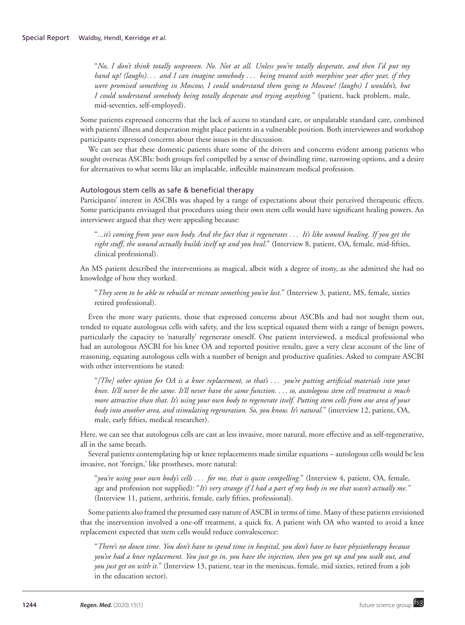"*No, I don't think totally unproven. No. Not at all. Unless you're totally desperate, and then I'd put my hand up! (laughs). . . and I can imagine somebody . . . being treated with morphine year after year, if they were promised something in Moscow, I could understand them going to Moscow! (laughs) I wouldn't, but I could understand somebody being totally desperate and trying anything.*" (patient, back problem, male, mid-seventies, self-employed).

Some patients expressed concerns that the lack of access to standard care, or unpalatable standard care, combined with patients' illness and desperation might place patients in a vulnerable position. Both interviewees and workshop participants expressed concerns about these issues in the discussion.

We can see that these domestic patients share some of the drivers and concerns evident among patients who sought overseas ASCBIs: both groups feel compelled by a sense of dwindling time, narrowing options, and a desire for alternatives to what seems like an implacable, inflexible mainstream medical profession.

# Autologous stem cells as safe & beneficial therapy

Participants' interest in ASCBIs was shaped by a range of expectations about their perceived therapeutic effects. Some participants envisaged that procedures using their own stem cells would have significant healing powers. An interviewee argued that they were appealing because:

"*...it's coming from your own body. And the fact that it regenerates . . . It's like wound healing. If you get the right stuff, the wound actually builds itself up and you heal*." (Interview 8, patient, OA, female, mid-fifties, clinical professional).

An MS patient described the interventions as magical, albeit with a degree of irony, as she admitted she had no knowledge of how they worked.

"*They seem to be able to rebuild or recreate something you've lost.*" (Interview 3, patient, MS, female, sixties retired professional).

Even the more wary patients, those that expressed concerns about ASCBIs and had not sought them out, tended to equate autologous cells with safety, and the less sceptical equated them with a range of benign powers, particularly the capacity to 'naturally' regenerate oneself. One patient interviewed, a medical professional who had an autologous ASCBI for his knee OA and reported positive results, gave a very clear account of the line of reasoning, equating autologous cells with a number of benign and productive qualities. Asked to compare ASCBI with other interventions he stated:

"*[The] other option for OA is a knee replacement, so that's . . . you're putting artificial materials into your knee. It'll never be the same. It'll never have the same function. . . . so, autologous stem cell treatment is much more attractive than that. It's using your own body to regenerate itself. Putting stem cells from one area of your body into another area, and stimulating regeneration. So, you know. It's natural.*" (interview 12, patient, OA, male, early fifties, medical researcher).

Here, we can see that autologous cells are cast as less invasive, more natural, more effective and as self-regenerative, all in the same breath.

Several patients contemplating hip or knee replacements made similar equations – autologous cells would be less invasive, not 'foreign,' like prostheses, more natural:

"*you're using your own body's cells . . . for me, that is quite compelling*." (Interview 4, patient, OA, female, age and profession not supplied): "*It's very strange if I had a part of my body in me that wasn't actually me."* (Interview 11, patient, arthritis, female, early fifties, professional).

Some patients also framed the presumed easy nature of ASCBI in terms of time. Many of these patients envisioned that the intervention involved a one-off treatment, a quick fix. A patient with OA who wanted to avoid a knee replacement expected that stem cells would reduce convalescence:

"*There's no down time. You don't have to spend time in hospital, you don't have to have physiotherapy because you've had a knee replacement. You just go in, you have the injection, then you get up and you walk out, and you just get on with it.*" (Interview 13, patient, tear in the meniscus, female, mid sixties, retired from a job in the education sector).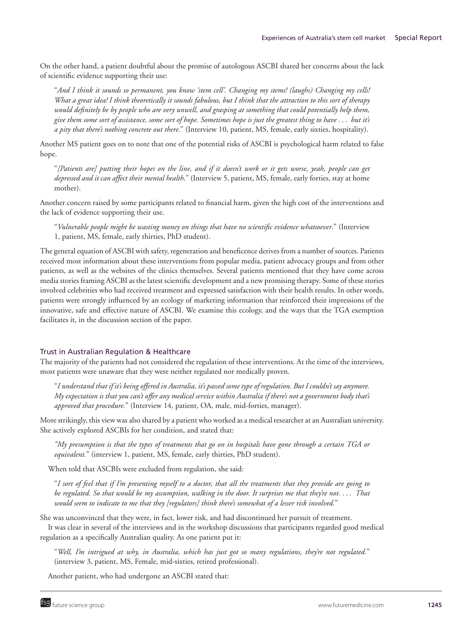On the other hand, a patient doubtful about the promise of autologous ASCBI shared her concerns about the lack of scientific evidence supporting their use:

"*And I think it sounds so permanent, you know 'stem cell'. Changing my stems! (laughs) Changing my cells! What a great idea! I think theoretically it sounds fabulous, but I think that the attraction to this sort of therapy would definitely be by people who are very unwell, and grasping at something that could potentially help them, give them some sort of assistance, some sort of hope. Sometimes hope is just the greatest thing to have . . . but it's a pity that there's nothing concrete out there.*" (Interview 10, patient, MS, female, early sixties, hospitality).

Another MS patient goes on to note that one of the potential risks of ASCBI is psychological harm related to false hope.

"*[Patients are] putting their hopes on the line, and if it doesn't work or it gets worse, yeah, people can get depressed and it can affect their mental health*." (Interview 5, patient, MS, female, early forties, stay at home mother).

Another concern raised by some participants related to financial harm, given the high cost of the interventions and the lack of evidence supporting their use.

"*Vulnerable people might be wasting money on things that have no scientific evidence whatsoever*." (Interview 1, patient, MS, female, early thirties, PhD student).

The general equation of ASCBI with safety, regeneration and beneficence derives from a number of sources. Patients received most information about these interventions from popular media, patient advocacy groups and from other patients, as well as the websites of the clinics themselves. Several patients mentioned that they have come across media stories framing ASCBI as the latest scientific development and a new promising therapy. Some of these stories involved celebrities who had received treatment and expressed satisfaction with their health results. In other words, patients were strongly influenced by an ecology of marketing information that reinforced their impressions of the innovative, safe and effective nature of ASCBI. We examine this ecology, and the ways that the TGA exemption facilitates it, in the discussion section of the paper.

# Trust in Australian Regulation & Healthcare

The majority of the patients had not considered the regulation of these interventions. At the time of the interviews, most patients were unaware that they were neither regulated nor medically proven.

"*I understand that if it's being offered in Australia, it's passed some type of regulation. But I couldn't say anymore. My expectation is that you can't offer any medical service within Australia if there's not a government body that's approved that procedure.*" (Interview 14, patient, OA, male, mid-forties, manager).

More strikingly, this view was also shared by a patient who worked as a medical researcher at an Australian university. She actively explored ASCBIs for her condition, and stated that:

*"My presumption is that the types of treatments that go on in hospitals have gone through a certain TGA or equivalent.*" (interview 1, patient, MS, female, early thirties, PhD student).

When told that ASCBIs were excluded from regulation, she said:

"*I sort of feel that if I'm presenting myself to a doctor, that all the treatments that they provide are going to be regulated. So that would be my assumption, walking in the door. It surprises me that they're not. . . . That would seem to indicate to me that they [regulators] think there's somewhat of a lesser risk involved.*"

She was unconvinced that they were, in fact, lower risk, and had discontinued her pursuit of treatment.

It was clear in several of the interviews and in the workshop discussions that participants regarded good medical regulation as a specifically Australian quality. As one patient put it:

"*Well, I'm intrigued at why, in Australia, which has just got so many regulations, they're not regulated.*" (interview 3, patient, MS, Female, mid-sixties, retired professional).

Another patient, who had undergone an ASCBI stated that: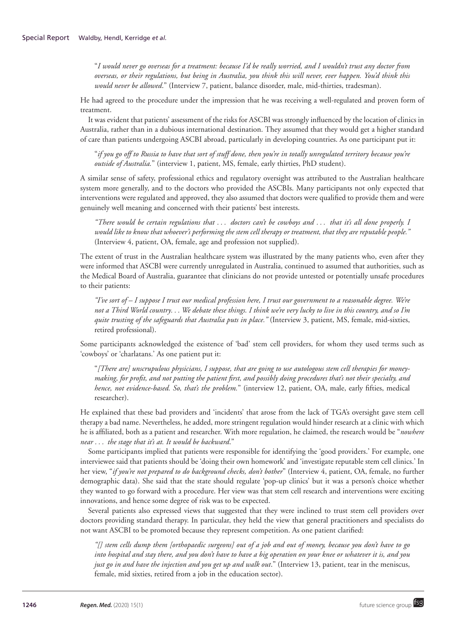"*I would never go overseas for a treatment: because I'd be really worried, and I wouldn't trust any doctor from overseas, or their regulations, but being in Australia, you think this will never, ever happen. You'd think this would never be allowed*." (Interview 7, patient, balance disorder, male, mid-thirties, tradesman).

He had agreed to the procedure under the impression that he was receiving a well-regulated and proven form of treatment.

It was evident that patients' assessment of the risks for ASCBI was strongly influenced by the location of clinics in Australia, rather than in a dubious international destination. They assumed that they would get a higher standard of care than patients undergoing ASCBI abroad, particularly in developing countries. As one participant put it:

"*if you go off to Russia to have that sort of stuff done, then you're in totally unregulated territory because you're outside of Australia.*" (interview 1, patient, MS, female, early thirties, PhD student).

A similar sense of safety, professional ethics and regulatory oversight was attributed to the Australian healthcare system more generally, and to the doctors who provided the ASCBIs. Many participants not only expected that interventions were regulated and approved, they also assumed that doctors were qualified to provide them and were genuinely well meaning and concerned with their patients' best interests.

*"There would be certain regulations that . . . doctors can't be cowboys and . . . that it's all done properly. I would like to know that whoever's performing the stem cell therapy or treatment, that they are reputable people."* (Interview 4, patient, OA, female, age and profession not supplied).

The extent of trust in the Australian healthcare system was illustrated by the many patients who, even after they were informed that ASCBI were currently unregulated in Australia, continued to assumed that authorities, such as the Medical Board of Australia, guarantee that clinicians do not provide untested or potentially unsafe procedures to their patients:

*"I've sort of – I suppose I trust our medical profession here, I trust our government to a reasonable degree. We're not a Third World country. . . We debate these things. I think we're very lucky to live in this country, and so I'm quite trusting of the safeguards that Australia puts in place."* (Interview 3, patient, MS, female, mid-sixties, retired professional).

Some participants acknowledged the existence of 'bad' stem cell providers, for whom they used terms such as 'cowboys' or 'charlatans.' As one patient put it:

"*[There are] unscrupulous physicians, I suppose, that are going to use autologous stem cell therapies for moneymaking, for profit, and not putting the patient first, and possibly doing procedures that's not their specialty, and hence, not evidence-based. So, that's the problem.*" (interview 12, patient, OA, male, early fifties, medical researcher).

He explained that these bad providers and 'incidents' that arose from the lack of TGA's oversight gave stem cell therapy a bad name. Nevertheless, he added, more stringent regulation would hinder research at a clinic with which he is affiliated, both as a patient and researcher. With more regulation, he claimed, the research would be "*nowhere near . . . the stage that it's at. It would be backward*."

Some participants implied that patients were responsible for identifying the 'good providers.' For example, one interviewee said that patients should be 'doing their own homework' and 'investigate reputable stem cell clinics.' In her view, "*if you're not prepared to do background checks, don't bother*" (Interview 4, patient, OA, female, no further demographic data). She said that the state should regulate 'pop-up clinics' but it was a person's choice whether they wanted to go forward with a procedure. Her view was that stem cell research and interventions were exciting innovations, and hence some degree of risk was to be expected.

Several patients also expressed views that suggested that they were inclined to trust stem cell providers over doctors providing standard therapy. In particular, they held the view that general practitioners and specialists do not want ASCBI to be promoted because they represent competition. As one patient clarified:

*"[] stem cells dump them [orthopaedic surgeons] out of a job and out of money, because you don't have to go into hospital and stay there, and you don't have to have a big operation on your knee or whatever it is, and you just go in and have the injection and you get up and walk out*." (Interview 13, patient, tear in the meniscus, female, mid sixties, retired from a job in the education sector).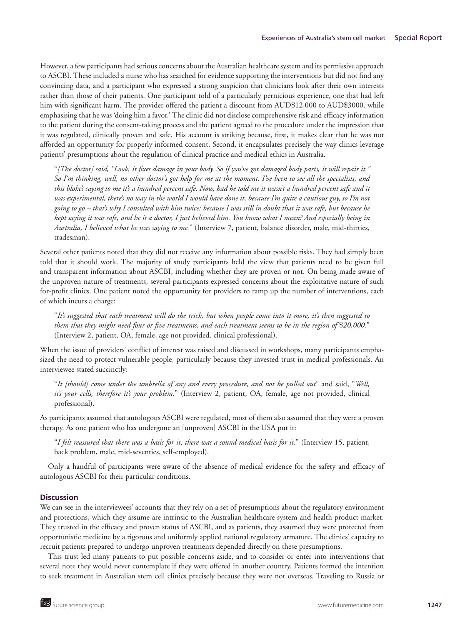However, a few participants had serious concerns about the Australian healthcare system and its permissive approach to ASCBI. These included a nurse who has searched for evidence supporting the interventions but did not find any convincing data, and a participant who expressed a strong suspicion that clinicians look after their own interests rather than those of their patients. One participant told of a particularly pernicious experience, one that had left him with significant harm. The provider offered the patient a discount from AUD\$12,000 to AUD\$3000, while emphasising that he was 'doing him a favor.' The clinic did not disclose comprehensive risk and efficacy information to the patient during the consent-taking process and the patient agreed to the procedure under the impression that it was regulated, clinically proven and safe. His account is striking because, first, it makes clear that he was not afforded an opportunity for properly informed consent. Second, it encapsulates precisely the way clinics leverage patients' presumptions about the regulation of clinical practice and medical ethics in Australia.

"*[The doctor] said, "Look, it fixes damage in your body. So if you've got damaged body parts, it will repair it." So I'm thinking, well, no other doctor's got help for me at the moment. I've been to see all the specialists, and this bloke's saying to me it's a hundred percent safe. Now, had he told me it wasn't a hundred percent safe and it was experimental, there's no way in the world I would have done it, because I'm quite a cautious guy, so I'm not going to go – that's why I consulted with him twice; because I was still in doubt that it was safe, but because he kept saying it was safe, and he is a doctor, I just believed him. You know what I mean? And especially being in Australia, I believed what he was saying to me.*" (Interview 7, patient, balance disorder, male, mid-thirties, tradesman).

Several other patients noted that they did not receive any information about possible risks. They had simply been told that it should work. The majority of study participants held the view that patients need to be given full and transparent information about ASCBI, including whether they are proven or not. On being made aware of the unproven nature of treatments, several participants expressed concerns about the exploitative nature of such for-profit clinics. One patient noted the opportunity for providers to ramp up the number of interventions, each of which incurs a charge:

"*It's suggested that each treatment will do the trick, but when people come into it more, it's then suggested to them that they might need four or five treatments, and each treatment seems to be in the region of* \$*20,000.*" (Interview 2, patient, OA, female, age not provided, clinical professional).

When the issue of providers' conflict of interest was raised and discussed in workshops, many participants emphasized the need to protect vulnerable people, particularly because they invested trust in medical professionals. An interviewee stated succinctly:

"*It [should] come under the umbrella of any and every procedure, and not be pulled out*" and said, "*Well, it's your cells, therefore it's your problem.*" (Interview 2, patient, OA, female, age not provided, clinical professional).

As participants assumed that autologous ASCBI were regulated, most of them also assumed that they were a proven therapy. As one patient who has undergone an [unproven] ASCBI in the USA put it:

"*I felt reassured that there was a basis for it, there was a sound medical basis for it.*" (Interview 15, patient, back problem, male, mid-seventies, self-employed).

Only a handful of participants were aware of the absence of medical evidence for the safety and efficacy of autologous ASCBI for their particular conditions.

# **Discussion**

We can see in the interviewees' accounts that they rely on a set of presumptions about the regulatory environment and protections, which they assume are intrinsic to the Australian healthcare system and health product market. They trusted in the efficacy and proven status of ASCBI, and as patients, they assumed they were protected from opportunistic medicine by a rigorous and uniformly applied national regulatory armature. The clinics' capacity to recruit patients prepared to undergo unproven treatments depended directly on these presumptions.

This trust led many patients to put possible concerns aside, and to consider or enter into interventions that several note they would never contemplate if they were offered in another country. Patients formed the intention to seek treatment in Australian stem cell clinics precisely because they were not overseas. Traveling to Russia or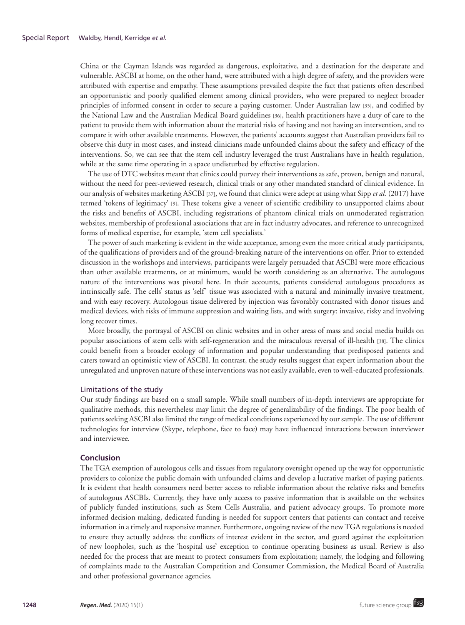China or the Cayman Islands was regarded as dangerous, exploitative, and a destination for the desperate and vulnerable. ASCBI at home, on the other hand, were attributed with a high degree of safety, and the providers were attributed with expertise and empathy. These assumptions prevailed despite the fact that patients often described an opportunistic and poorly qualified element among clinical providers, who were prepared to neglect broader principles of informed consent in order to secure a paying customer. Under Australian law [35], and codified by the National Law and the Australian Medical Board guidelines [36], health practitioners have a duty of care to the patient to provide them with information about the material risks of having and not having an intervention, and to compare it with other available treatments. However, the patients' accounts suggest that Australian providers fail to observe this duty in most cases, and instead clinicians made unfounded claims about the safety and efficacy of the interventions. So, we can see that the stem cell industry leveraged the trust Australians have in health regulation, while at the same time operating in a space undisturbed by effective regulation.

The use of DTC websites meant that clinics could purvey their interventions as safe, proven, benign and natural, without the need for peer-reviewed research, clinical trials or any other mandated standard of clinical evidence. In our analysis of websites marketing ASCBI [37], we found that clinics were adept at using what Sipp *et al.* (2017) have termed 'tokens of legitimacy' [9]. These tokens give a veneer of scientific credibility to unsupported claims about the risks and benefits of ASCBI, including registrations of phantom clinical trials on unmoderated registration websites, membership of professional associations that are in fact industry advocates, and reference to unrecognized forms of medical expertise, for example, 'stem cell specialists.'

The power of such marketing is evident in the wide acceptance, among even the more critical study participants, of the qualifications of providers and of the ground-breaking nature of the interventions on offer. Prior to extended discussion in the workshops and interviews, participants were largely persuaded that ASCBI were more efficacious than other available treatments, or at minimum, would be worth considering as an alternative. The autologous nature of the interventions was pivotal here. In their accounts, patients considered autologous procedures as intrinsically safe. The cells' status as 'self' tissue was associated with a natural and minimally invasive treatment, and with easy recovery. Autologous tissue delivered by injection was favorably contrasted with donor tissues and medical devices, with risks of immune suppression and waiting lists, and with surgery: invasive, risky and involving long recover times.

More broadly, the portrayal of ASCBI on clinic websites and in other areas of mass and social media builds on popular associations of stem cells with self-regeneration and the miraculous reversal of ill-health [38]. The clinics could benefit from a broader ecology of information and popular understanding that predisposed patients and carers toward an optimistic view of ASCBI. In contrast, the study results suggest that expert information about the unregulated and unproven nature of these interventions was not easily available, even to well-educated professionals.

# Limitations of the study

Our study findings are based on a small sample. While small numbers of in-depth interviews are appropriate for qualitative methods, this nevertheless may limit the degree of generalizability of the findings. The poor health of patients seeking ASCBI also limited the range of medical conditions experienced by our sample. The use of different technologies for interview (Skype, telephone, face to face) may have influenced interactions between interviewer and interviewee.

## **Conclusion**

The TGA exemption of autologous cells and tissues from regulatory oversight opened up the way for opportunistic providers to colonize the public domain with unfounded claims and develop a lucrative market of paying patients. It is evident that health consumers need better access to reliable information about the relative risks and benefits of autologous ASCBIs. Currently, they have only access to passive information that is available on the websites of publicly funded institutions, such as Stem Cells Australia, and patient advocacy groups. To promote more informed decision making, dedicated funding is needed for support centers that patients can contact and receive information in a timely and responsive manner. Furthermore, ongoing review of the new TGA regulations is needed to ensure they actually address the conflicts of interest evident in the sector, and guard against the exploitation of new loopholes, such as the 'hospital use' exception to continue operating business as usual. Review is also needed for the process that are meant to protect consumers from exploitation; namely, the lodging and following of complaints made to the Australian Competition and Consumer Commission, the Medical Board of Australia and other professional governance agencies.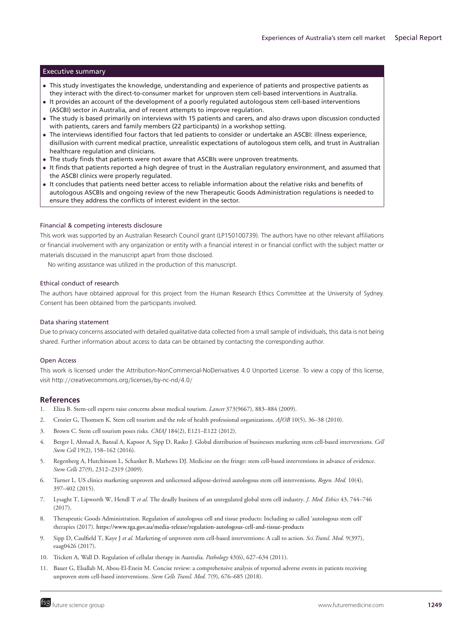# Executive summary

- This study investigates the knowledge, understanding and experience of patients and prospective patients as they interact with the direct-to-consumer market for unproven stem cell-based interventions in Australia.
- It provides an account of the development of a poorly regulated autologous stem cell-based interventions (ASCBI) sector in Australia, and of recent attempts to improve regulation.
- The study is based primarily on interviews with 15 patients and carers, and also draws upon discussion conducted with patients, carers and family members (22 participants) in a workshop setting.
- The interviews identified four factors that led patients to consider or undertake an ASCBI: illness experience, disillusion with current medical practice, unrealistic expectations of autologous stem cells, and trust in Australian healthcare regulation and clinicians.
- The study finds that patients were not aware that ASCBIs were unproven treatments.
- It finds that patients reported a high degree of trust in the Australian regulatory environment, and assumed that the ASCBI clinics were properly regulated.
- It concludes that patients need better access to reliable information about the relative risks and benefits of autologous ASCBIs and ongoing review of the new Therapeutic Goods Administration regulations is needed to ensure they address the conflicts of interest evident in the sector.

### Financial & competing interests disclosure

This work was supported by an Australian Research Council grant (LP150100739). The authors have no other relevant affiliations or financial involvement with any organization or entity with a financial interest in or financial conflict with the subject matter or materials discussed in the manuscript apart from those disclosed.

No writing assistance was utilized in the production of this manuscript.

#### Ethical conduct of research

The authors have obtained approval for this project from the Human Research Ethics Committee at the University of Sydney. Consent has been obtained from the participants involved.

#### Data sharing statement

Due to privacy concerns associated with detailed qualitative data collected from a small sample of individuals, this data is not being shared. Further information about access to data can be obtained by contacting the corresponding author.

#### Open Access

This work is licensed under the Attribution-NonCommercial-NoDerivatives 4.0 Unported License. To view a copy of this license, visit http://creativecommons.org/licenses/by-nc-nd/4.0/

## **References**

- 1. Eliza B. Stem-cell experts raise concerns about medical tourism. *Lancet* 373(9667), 883–884 (2009).
- 2. Crozier G, Thomsen K. Stem cell tourism and the role of health professional organizations. *AJOB* 10(5), 36–38 (2010).
- 3. Brown C. Stem cell tourism poses risks. *CMAJ* 184(2), E121–E122 (2012).
- 4. Berger I, Ahmad A, Bansal A, Kapoor A, Sipp D, Rasko J. Global distribution of businesses marketing stem cell-based interventions. *Cell Stem Cell* 19(2), 158–162 (2016).
- 5. Regenberg A, Hutchinson L, Schanker B, Mathews DJ. Medicine on the fringe: stem cell-based interventions in advance of evidence. *Stem Cells* 27(9), 2312–2319 (2009).
- 6. Turner L. US clinics marketing unproven and unlicensed adipose-derived autologous stem cell interventions. *Regen. Med.* 10(4), 397–402 (2015).
- 7. Lysaght T, Lipworth W, Hendl T *et al.* The deadly business of an unregulated global stem cell industry. *J. Med. Ethics* 43, 744–746 (2017).
- 8. Therapeutic Goods Administration. Regulation of autologous cell and tissue products: Including so called 'autologous stem cell' therapies (2017). <https://www.tga.gov.au/media-release/regulation-autologous-cell-and-tissue-products>
- 9. Sipp D, Caulfield T, Kaye J *et al.* Marketing of unproven stem cell-based interventions: A call to action. *Sci.Transl. Med.* 9(397), eaag0426 (2017).
- 10. Trickett A, Wall D. Regulation of cellular therapy in Australia. *Pathology* 43(6), 627–634 (2011).
- 11. Bauer G, Elsallab M, Abou-El-Enein M. Concise review: a comprehensive analysis of reported adverse events in patients receiving unproven stem cell-based interventions. *Stem Cells Transl. Med.* 7(9), 676–685 (2018).